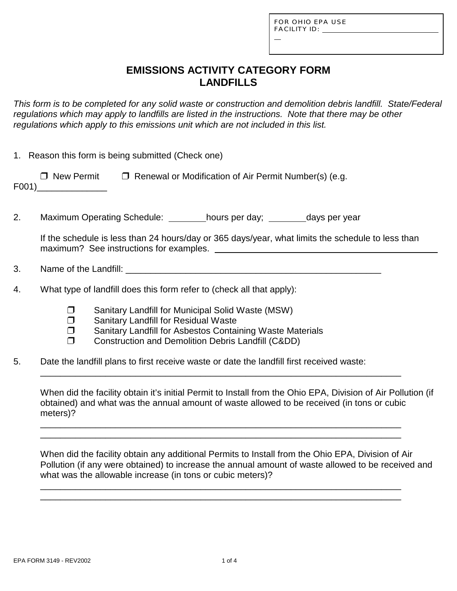| FOR OHIO EPA USE    |
|---------------------|
| <b>FACILITY ID:</b> |

L

## **EMISSIONS ACTIVITY CATEGORY FORM LANDFILLS**

*This form is to be completed for any solid waste or construction and demolition debris landfill. State/Federal regulations which may apply to landfills are listed in the instructions. Note that there may be other regulations which apply to this emissions unit which are not included in this list.*

|    |                                                                       | 1. Reason this form is being submitted (Check one)                                                                                                                                                         |                                                                                                                                                                           |                                                                                                   |  |  |  |  |
|----|-----------------------------------------------------------------------|------------------------------------------------------------------------------------------------------------------------------------------------------------------------------------------------------------|---------------------------------------------------------------------------------------------------------------------------------------------------------------------------|---------------------------------------------------------------------------------------------------|--|--|--|--|
|    |                                                                       |                                                                                                                                                                                                            | $\Box$ New Permit $\Box$ Renewal or Modification of Air Permit Number(s) (e.g.                                                                                            |                                                                                                   |  |  |  |  |
| 2. |                                                                       |                                                                                                                                                                                                            | Maximum Operating Schedule: _________hours per day; _________days per year                                                                                                |                                                                                                   |  |  |  |  |
|    |                                                                       |                                                                                                                                                                                                            |                                                                                                                                                                           | If the schedule is less than 24 hours/day or 365 days/year, what limits the schedule to less than |  |  |  |  |
| 3. |                                                                       |                                                                                                                                                                                                            |                                                                                                                                                                           |                                                                                                   |  |  |  |  |
| 4. | What type of landfill does this form refer to (check all that apply): |                                                                                                                                                                                                            |                                                                                                                                                                           |                                                                                                   |  |  |  |  |
|    | $\Box$<br>$\Box$<br>$\Box$<br>$\Box$                                  | Sanitary Landfill for Residual Waste                                                                                                                                                                       | Sanitary Landfill for Municipal Solid Waste (MSW)<br>Sanitary Landfill for Asbestos Containing Waste Materials<br><b>Construction and Demolition Debris Landfill (Cⅅ)</b> |                                                                                                   |  |  |  |  |
| 5. |                                                                       |                                                                                                                                                                                                            | Date the landfill plans to first receive waste or date the landfill first received waste:                                                                                 |                                                                                                   |  |  |  |  |
|    | meters)?                                                              | When did the facility obtain it's initial Permit to Install from the Ohio EPA, Division of Air Pollution (if<br>obtained) and what was the annual amount of waste allowed to be received (in tons or cubic |                                                                                                                                                                           |                                                                                                   |  |  |  |  |
|    |                                                                       |                                                                                                                                                                                                            |                                                                                                                                                                           |                                                                                                   |  |  |  |  |

When did the facility obtain any additional Permits to Install from the Ohio EPA, Division of Air Pollution (if any were obtained) to increase the annual amount of waste allowed to be received and what was the allowable increase (in tons or cubic meters)?

\_\_\_\_\_\_\_\_\_\_\_\_\_\_\_\_\_\_\_\_\_\_\_\_\_\_\_\_\_\_\_\_\_\_\_\_\_\_\_\_\_\_\_\_\_\_\_\_\_\_\_\_\_\_\_\_\_\_\_\_\_\_\_\_\_\_\_\_\_\_\_\_ \_\_\_\_\_\_\_\_\_\_\_\_\_\_\_\_\_\_\_\_\_\_\_\_\_\_\_\_\_\_\_\_\_\_\_\_\_\_\_\_\_\_\_\_\_\_\_\_\_\_\_\_\_\_\_\_\_\_\_\_\_\_\_\_\_\_\_\_\_\_\_\_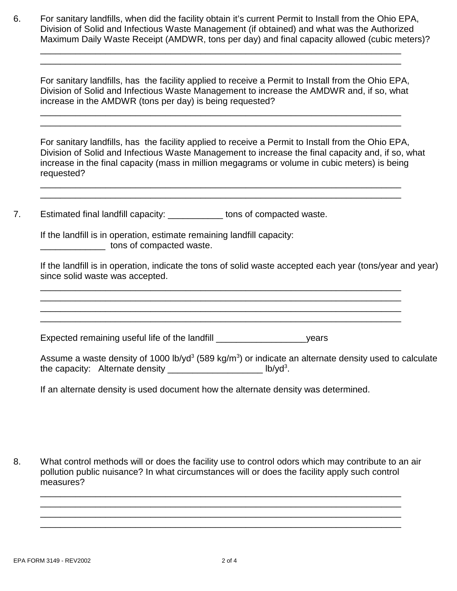6. For sanitary landfills, when did the facility obtain it's current Permit to Install from the Ohio EPA, Division of Solid and Infectious Waste Management (if obtained) and what was the Authorized Maximum Daily Waste Receipt (AMDWR, tons per day) and final capacity allowed (cubic meters)?

\_\_\_\_\_\_\_\_\_\_\_\_\_\_\_\_\_\_\_\_\_\_\_\_\_\_\_\_\_\_\_\_\_\_\_\_\_\_\_\_\_\_\_\_\_\_\_\_\_\_\_\_\_\_\_\_\_\_\_\_\_\_\_\_\_\_\_\_\_\_\_\_ \_\_\_\_\_\_\_\_\_\_\_\_\_\_\_\_\_\_\_\_\_\_\_\_\_\_\_\_\_\_\_\_\_\_\_\_\_\_\_\_\_\_\_\_\_\_\_\_\_\_\_\_\_\_\_\_\_\_\_\_\_\_\_\_\_\_\_\_\_\_\_\_

For sanitary landfills, has the facility applied to receive a Permit to Install from the Ohio EPA, Division of Solid and Infectious Waste Management to increase the AMDWR and, if so, what increase in the AMDWR (tons per day) is being requested?

\_\_\_\_\_\_\_\_\_\_\_\_\_\_\_\_\_\_\_\_\_\_\_\_\_\_\_\_\_\_\_\_\_\_\_\_\_\_\_\_\_\_\_\_\_\_\_\_\_\_\_\_\_\_\_\_\_\_\_\_\_\_\_\_\_\_\_\_\_\_\_\_ \_\_\_\_\_\_\_\_\_\_\_\_\_\_\_\_\_\_\_\_\_\_\_\_\_\_\_\_\_\_\_\_\_\_\_\_\_\_\_\_\_\_\_\_\_\_\_\_\_\_\_\_\_\_\_\_\_\_\_\_\_\_\_\_\_\_\_\_\_\_\_\_

\_\_\_\_\_\_\_\_\_\_\_\_\_\_\_\_\_\_\_\_\_\_\_\_\_\_\_\_\_\_\_\_\_\_\_\_\_\_\_\_\_\_\_\_\_\_\_\_\_\_\_\_\_\_\_\_\_\_\_\_\_\_\_\_\_\_\_\_\_\_\_\_ \_\_\_\_\_\_\_\_\_\_\_\_\_\_\_\_\_\_\_\_\_\_\_\_\_\_\_\_\_\_\_\_\_\_\_\_\_\_\_\_\_\_\_\_\_\_\_\_\_\_\_\_\_\_\_\_\_\_\_\_\_\_\_\_\_\_\_\_\_\_\_\_

\_\_\_\_\_\_\_\_\_\_\_\_\_\_\_\_\_\_\_\_\_\_\_\_\_\_\_\_\_\_\_\_\_\_\_\_\_\_\_\_\_\_\_\_\_\_\_\_\_\_\_\_\_\_\_\_\_\_\_\_\_\_\_\_\_\_\_\_\_\_\_\_ \_\_\_\_\_\_\_\_\_\_\_\_\_\_\_\_\_\_\_\_\_\_\_\_\_\_\_\_\_\_\_\_\_\_\_\_\_\_\_\_\_\_\_\_\_\_\_\_\_\_\_\_\_\_\_\_\_\_\_\_\_\_\_\_\_\_\_\_\_\_\_\_ \_\_\_\_\_\_\_\_\_\_\_\_\_\_\_\_\_\_\_\_\_\_\_\_\_\_\_\_\_\_\_\_\_\_\_\_\_\_\_\_\_\_\_\_\_\_\_\_\_\_\_\_\_\_\_\_\_\_\_\_\_\_\_\_\_\_\_\_\_\_\_\_ \_\_\_\_\_\_\_\_\_\_\_\_\_\_\_\_\_\_\_\_\_\_\_\_\_\_\_\_\_\_\_\_\_\_\_\_\_\_\_\_\_\_\_\_\_\_\_\_\_\_\_\_\_\_\_\_\_\_\_\_\_\_\_\_\_\_\_\_\_\_\_\_

For sanitary landfills, has the facility applied to receive a Permit to Install from the Ohio EPA, Division of Solid and Infectious Waste Management to increase the final capacity and, if so, what increase in the final capacity (mass in million megagrams or volume in cubic meters) is being requested?

7. Estimated final landfill capacity: \_\_\_\_\_\_\_\_\_\_\_\_ tons of compacted waste.

If the landfill is in operation, estimate remaining landfill capacity: \_\_\_\_\_\_\_\_\_\_\_\_\_ tons of compacted waste.

If the landfill is in operation, indicate the tons of solid waste accepted each year (tons/year and year) since solid waste was accepted.

Expected remaining useful life of the landfill \_\_\_\_\_\_\_\_\_\_\_\_\_\_\_\_\_\_years

Assume a waste density of 1000 lb/yd<sup>3</sup> (589 kg/m<sup>3</sup>) or indicate an alternate density used to calculate the capacity: Alternate density  $\frac{1}{2}$  and  $\frac{1}{2}$  and  $\frac{1}{2}$  lb/yd<sup>3</sup>.

If an alternate density is used document how the alternate density was determined.

8. What control methods will or does the facility use to control odors which may contribute to an air pollution public nuisance? In what circumstances will or does the facility apply such control measures?

\_\_\_\_\_\_\_\_\_\_\_\_\_\_\_\_\_\_\_\_\_\_\_\_\_\_\_\_\_\_\_\_\_\_\_\_\_\_\_\_\_\_\_\_\_\_\_\_\_\_\_\_\_\_\_\_\_\_\_\_\_\_\_\_\_\_\_\_\_\_\_\_ \_\_\_\_\_\_\_\_\_\_\_\_\_\_\_\_\_\_\_\_\_\_\_\_\_\_\_\_\_\_\_\_\_\_\_\_\_\_\_\_\_\_\_\_\_\_\_\_\_\_\_\_\_\_\_\_\_\_\_\_\_\_\_\_\_\_\_\_\_\_\_\_ \_\_\_\_\_\_\_\_\_\_\_\_\_\_\_\_\_\_\_\_\_\_\_\_\_\_\_\_\_\_\_\_\_\_\_\_\_\_\_\_\_\_\_\_\_\_\_\_\_\_\_\_\_\_\_\_\_\_\_\_\_\_\_\_\_\_\_\_\_\_\_\_ \_\_\_\_\_\_\_\_\_\_\_\_\_\_\_\_\_\_\_\_\_\_\_\_\_\_\_\_\_\_\_\_\_\_\_\_\_\_\_\_\_\_\_\_\_\_\_\_\_\_\_\_\_\_\_\_\_\_\_\_\_\_\_\_\_\_\_\_\_\_\_\_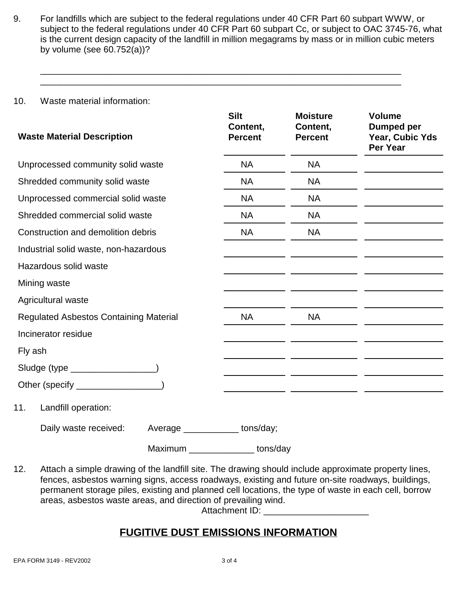9. For landfills which are subject to the federal regulations under 40 CFR Part 60 subpart WWW, or subject to the federal regulations under 40 CFR Part 60 subpart Cc, or subject to OAC 3745-76, what is the current design capacity of the landfill in million megagrams by mass or in million cubic meters by volume (see 60.752(a))?

\_\_\_\_\_\_\_\_\_\_\_\_\_\_\_\_\_\_\_\_\_\_\_\_\_\_\_\_\_\_\_\_\_\_\_\_\_\_\_\_\_\_\_\_\_\_\_\_\_\_\_\_\_\_\_\_\_\_\_\_\_\_\_\_\_\_\_\_\_\_\_\_ \_\_\_\_\_\_\_\_\_\_\_\_\_\_\_\_\_\_\_\_\_\_\_\_\_\_\_\_\_\_\_\_\_\_\_\_\_\_\_\_\_\_\_\_\_\_\_\_\_\_\_\_\_\_\_\_\_\_\_\_\_\_\_\_\_\_\_\_\_\_\_\_

10. Waste material information:

| <b>Waste Material Description</b>             | <b>Silt</b><br>Content,<br><b>Percent</b> | <b>Moisture</b><br>Content,<br><b>Percent</b> | <b>Volume</b><br>Dumped per<br>Year, Cubic Yds<br>Per Year |  |
|-----------------------------------------------|-------------------------------------------|-----------------------------------------------|------------------------------------------------------------|--|
| Unprocessed community solid waste             |                                           | <b>NA</b>                                     | <b>NA</b>                                                  |  |
| Shredded community solid waste                |                                           | NA                                            | <b>NA</b>                                                  |  |
| Unprocessed commercial solid waste            |                                           | <b>NA</b>                                     | <b>NA</b>                                                  |  |
| Shredded commercial solid waste               |                                           | <b>NA</b>                                     | <b>NA</b>                                                  |  |
| Construction and demolition debris            |                                           | <b>NA</b>                                     | <b>NA</b>                                                  |  |
| Industrial solid waste, non-hazardous         |                                           |                                               |                                                            |  |
| Hazardous solid waste                         |                                           |                                               |                                                            |  |
| Mining waste                                  |                                           |                                               |                                                            |  |
| Agricultural waste                            |                                           |                                               |                                                            |  |
| <b>Regulated Asbestos Containing Material</b> | <b>NA</b>                                 | <b>NA</b>                                     |                                                            |  |
| Incinerator residue                           |                                           |                                               |                                                            |  |
| Fly ash                                       |                                           |                                               |                                                            |  |
| Sludge (type __________________)              |                                           |                                               |                                                            |  |
| Other (specify __________________)            |                                           |                                               |                                                            |  |
| Landfill operation:<br>11.                    |                                           |                                               |                                                            |  |
| Daily waste received:                         |                                           | Average ____________ tons/day;                |                                                            |  |
|                                               | Maximum                                   | tons/day                                      |                                                            |  |

12. Attach a simple drawing of the landfill site. The drawing should include approximate property lines, fences, asbestos warning signs, access roadways, existing and future on-site roadways, buildings, permanent storage piles, existing and planned cell locations, the type of waste in each cell, borrow areas, asbestos waste areas, and direction of prevailing wind.

Attachment ID:

# **FUGITIVE DUST EMISSIONS INFORMATION**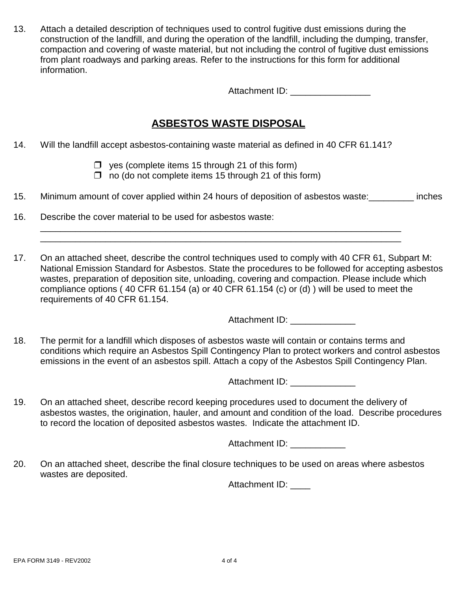13. Attach a detailed description of techniques used to control fugitive dust emissions during the construction of the landfill, and during the operation of the landfill, including the dumping, transfer, compaction and covering of waste material, but not including the control of fugitive dust emissions from plant roadways and parking areas. Refer to the instructions for this form for additional information.

Attachment ID: \_\_\_\_\_\_\_\_\_\_\_\_\_\_\_\_

### **ASBESTOS WASTE DISPOSAL**

- 14. Will the landfill accept asbestos-containing waste material as defined in 40 CFR 61.141?
	- $\Box$  yes (complete items 15 through 21 of this form)
	- $\Box$  no (do not complete items 15 through 21 of this form)
- 15. Minimum amount of cover applied within 24 hours of deposition of asbestos waste:\_\_\_\_\_\_\_\_\_ inches

\_\_\_\_\_\_\_\_\_\_\_\_\_\_\_\_\_\_\_\_\_\_\_\_\_\_\_\_\_\_\_\_\_\_\_\_\_\_\_\_\_\_\_\_\_\_\_\_\_\_\_\_\_\_\_\_\_\_\_\_\_\_\_\_\_\_\_\_\_\_\_\_ \_\_\_\_\_\_\_\_\_\_\_\_\_\_\_\_\_\_\_\_\_\_\_\_\_\_\_\_\_\_\_\_\_\_\_\_\_\_\_\_\_\_\_\_\_\_\_\_\_\_\_\_\_\_\_\_\_\_\_\_\_\_\_\_\_\_\_\_\_\_\_\_

- 16. Describe the cover material to be used for asbestos waste:
- 17. On an attached sheet, describe the control techniques used to comply with 40 CFR 61, Subpart M: National Emission Standard for Asbestos. State the procedures to be followed for accepting asbestos wastes, preparation of deposition site, unloading, covering and compaction. Please include which compliance options ( 40 CFR 61.154 (a) or 40 CFR 61.154 (c) or (d) ) will be used to meet the requirements of 40 CFR 61.154.

Attachment ID: \_\_\_\_\_\_\_\_\_

18. The permit for a landfill which disposes of asbestos waste will contain or contains terms and conditions which require an Asbestos Spill Contingency Plan to protect workers and control asbestos emissions in the event of an asbestos spill. Attach a copy of the Asbestos Spill Contingency Plan.

Attachment ID: \_\_\_\_\_\_\_

19. On an attached sheet, describe record keeping procedures used to document the delivery of asbestos wastes, the origination, hauler, and amount and condition of the load. Describe procedures to record the location of deposited asbestos wastes. Indicate the attachment ID.

Attachment ID:

20. On an attached sheet, describe the final closure techniques to be used on areas where asbestos wastes are deposited.

Attachment ID: \_\_\_\_\_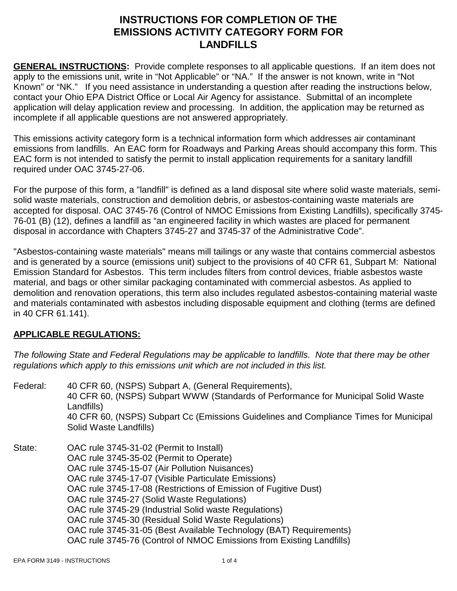## **INSTRUCTIONS FOR COMPLETION OF THE EMISSIONS ACTIVITY CATEGORY FORM FOR LANDFILLS**

**GENERAL INSTRUCTIONS:** Provide complete responses to all applicable questions. If an item does not apply to the emissions unit, write in "Not Applicable" or "NA." If the answer is not known, write in "Not Known" or "NK." If you need assistance in understanding a question after reading the instructions below, contact your Ohio EPA District Office or Local Air Agency for assistance. Submittal of an incomplete application will delay application review and processing. In addition, the application may be returned as incomplete if all applicable questions are not answered appropriately.

This emissions activity category form is a technical information form which addresses air contaminant emissions from landfills. An EAC form for Roadways and Parking Areas should accompany this form. This EAC form is not intended to satisfy the permit to install application requirements for a sanitary landfill required under OAC 3745-27-06.

For the purpose of this form, a "landfill" is defined as a land disposal site where solid waste materials, semisolid waste materials, construction and demolition debris, or asbestos-containing waste materials are accepted for disposal. OAC 3745-76 (Control of NMOC Emissions from Existing Landfills), specifically 3745- 76-01 (B) (12), defines a landfill as "an engineered facility in which wastes are placed for permanent disposal in accordance with Chapters 3745-27 and 3745-37 of the Administrative Code".

"Asbestos-containing waste materials" means mill tailings or any waste that contains commercial asbestos and is generated by a source (emissions unit) subject to the provisions of 40 CFR 61, Subpart M: National Emission Standard for Asbestos. This term includes filters from control devices, friable asbestos waste material, and bags or other similar packaging contaminated with commercial asbestos. As applied to demolition and renovation operations, this term also includes regulated asbestos-containing material waste and materials contaminated with asbestos including disposable equipment and clothing (terms are defined in 40 CFR 61.141).

### **APPLICABLE REGULATIONS:**

*The following State and Federal Regulations may be applicable to landfills. Note that there may be other regulations which apply to this emissions unit which are not included in this list.*

Federal: 40 CFR 60, (NSPS) Subpart A, (General Requirements), 40 CFR 60, (NSPS) Subpart WWW (Standards of Performance for Municipal Solid Waste Landfills) 40 CFR 60, (NSPS) Subpart Cc (Emissions Guidelines and Compliance Times for Municipal Solid Waste Landfills) State: OAC rule 3745-31-02 (Permit to Install) OAC rule 3745-35-02 (Permit to Operate) OAC rule 3745-15-07 (Air Pollution Nuisances) OAC rule 3745-17-07 (Visible Particulate Emissions) OAC rule 3745-17-08 (Restrictions of Emission of Fugitive Dust) OAC rule 3745-27 (Solid Waste Regulations) OAC rule 3745-29 (Industrial Solid waste Regulations) OAC rule 3745-30 (Residual Solid Waste Regulations) OAC rule 3745-31-05 (Best Available Technology (BAT) Requirements) OAC rule 3745-76 (Control of NMOC Emissions from Existing Landfills)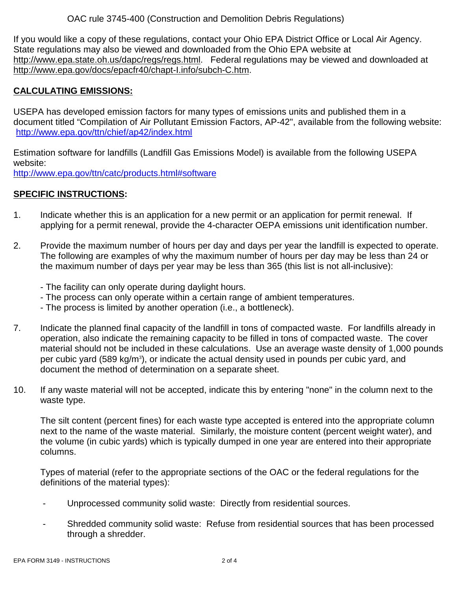OAC rule 3745-400 (Construction and Demolition Debris Regulations)

If you would like a copy of these regulations, contact your Ohio EPA District Office or Local Air Agency. State regulations may also be viewed and downloaded from the Ohio EPA website at http://www.epa.state.oh.us/dapc/regs/regs.html. Federal regulations may be viewed and downloaded at http://www.epa.gov/docs/epacfr40/chapt-I.info/subch-C.htm.

#### **CALCULATING EMISSIONS:**

USEPA has developed emission factors for many types of emissions units and published them in a document titled "Compilation of Air Pollutant Emission Factors, AP-42", available from the following website: http://www.epa.gov/ttn/chief/ap42/index.html

Estimation software for landfills (Landfill Gas Emissions Model) is available from the following USEPA website:

http://www.epa.gov/ttn/catc/products.html#software

### **SPECIFIC INSTRUCTIONS:**

- 1. Indicate whether this is an application for a new permit or an application for permit renewal. If applying for a permit renewal, provide the 4-character OEPA emissions unit identification number.
- 2. Provide the maximum number of hours per day and days per year the landfill is expected to operate. The following are examples of why the maximum number of hours per day may be less than 24 or the maximum number of days per year may be less than 365 (this list is not all-inclusive):
	- The facility can only operate during daylight hours.
	- The process can only operate within a certain range of ambient temperatures.
	- The process is limited by another operation (i.e., a bottleneck).
- 7. Indicate the planned final capacity of the landfill in tons of compacted waste. For landfills already in operation, also indicate the remaining capacity to be filled in tons of compacted waste. The cover material should not be included in these calculations. Use an average waste density of 1,000 pounds per cubic yard (589 kg/m<sup>3</sup>), or indicate the actual density used in pounds per cubic yard, and document the method of determination on a separate sheet.
- 10. If any waste material will not be accepted, indicate this by entering "none" in the column next to the waste type.

The silt content (percent fines) for each waste type accepted is entered into the appropriate column next to the name of the waste material. Similarly, the moisture content (percent weight water), and the volume (in cubic yards) which is typically dumped in one year are entered into their appropriate columns.

Types of material (refer to the appropriate sections of the OAC or the federal regulations for the definitions of the material types):

- Unprocessed community solid waste: Directly from residential sources.
- Shredded community solid waste: Refuse from residential sources that has been processed through a shredder.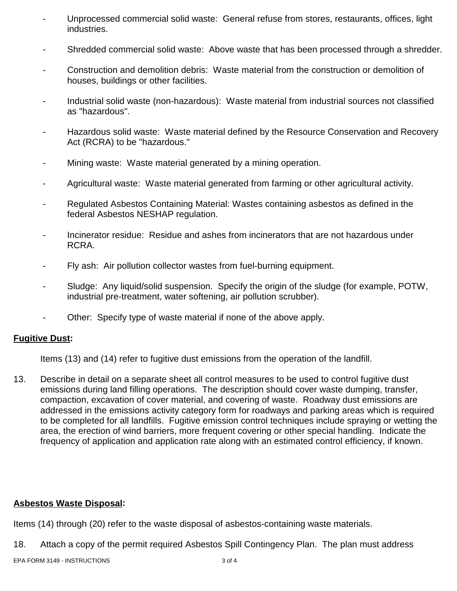- Unprocessed commercial solid waste: General refuse from stores, restaurants, offices, light industries.
- Shredded commercial solid waste: Above waste that has been processed through a shredder.
- Construction and demolition debris: Waste material from the construction or demolition of houses, buildings or other facilities.
- Industrial solid waste (non-hazardous): Waste material from industrial sources not classified as "hazardous".
- Hazardous solid waste: Waste material defined by the Resource Conservation and Recovery Act (RCRA) to be "hazardous."
- Mining waste: Waste material generated by a mining operation.
- Agricultural waste: Waste material generated from farming or other agricultural activity.
- Regulated Asbestos Containing Material: Wastes containing asbestos as defined in the federal Asbestos NESHAP regulation.
- Incinerator residue: Residue and ashes from incinerators that are not hazardous under RCRA.
- Fly ash: Air pollution collector wastes from fuel-burning equipment.
- Sludge: Any liquid/solid suspension. Specify the origin of the sludge (for example, POTW, industrial pre-treatment, water softening, air pollution scrubber).
- Other: Specify type of waste material if none of the above apply.

#### **Fugitive Dust:**

Items (13) and (14) refer to fugitive dust emissions from the operation of the landfill.

13. Describe in detail on a separate sheet all control measures to be used to control fugitive dust emissions during land filling operations. The description should cover waste dumping, transfer, compaction, excavation of cover material, and covering of waste. Roadway dust emissions are addressed in the emissions activity category form for roadways and parking areas which is required to be completed for all landfills. Fugitive emission control techniques include spraying or wetting the area, the erection of wind barriers, more frequent covering or other special handling. Indicate the frequency of application and application rate along with an estimated control efficiency, if known.

#### **Asbestos Waste Disposal:**

Items (14) through (20) refer to the waste disposal of asbestos-containing waste materials.

18. Attach a copy of the permit required Asbestos Spill Contingency Plan. The plan must address